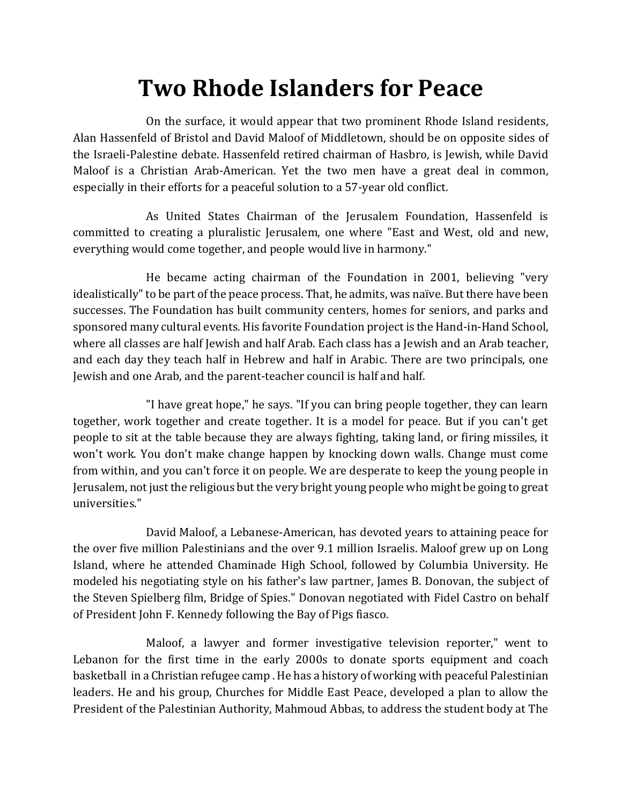## **Two Rhode Islanders for Peace**

On the surface, it would appear that two prominent Rhode Island residents, Alan Hassenfeld of Bristol and David Maloof of Middletown, should be on opposite sides of the Israeli-Palestine debate. Hassenfeld retired chairman of Hasbro, is Jewish, while David Maloof is a Christian Arab-American. Yet the two men have a great deal in common, especially in their efforts for a peaceful solution to a 57-year old conflict.

As United States Chairman of the Jerusalem Foundation, Hassenfeld is committed to creating a pluralistic Jerusalem, one where "East and West, old and new, everything would come together, and people would live in harmony."

He became acting chairman of the Foundation in 2001, believing "very idealistically" to be part of the peace process. That, he admits, was naïve. But there have been successes. The Foundation has built community centers, homes for seniors, and parks and sponsored many cultural events. His favorite Foundation project is the Hand-in-Hand School, where all classes are half Jewish and half Arab. Each class has a Jewish and an Arab teacher, and each day they teach half in Hebrew and half in Arabic. There are two principals, one Jewish and one Arab, and the parent-teacher council is half and half.

"I have great hope," he says. "If you can bring people together, they can learn together, work together and create together. It is a model for peace. But if you can't get people to sit at the table because they are always fighting, taking land, or firing missiles, it won't work. You don't make change happen by knocking down walls. Change must come from within, and you can't force it on people. We are desperate to keep the young people in Jerusalem, not just the religious but the very bright young people who might be going to great universities."

David Maloof, a Lebanese-American, has devoted years to attaining peace for the over five million Palestinians and the over 9.1 million Israelis. Maloof grew up on Long Island, where he attended Chaminade High School, followed by Columbia University. He modeled his negotiating style on his father's law partner, James B. Donovan, the subject of the Steven Spielberg film, Bridge of Spies." Donovan negotiated with Fidel Castro on behalf of President John F. Kennedy following the Bay of Pigs fiasco.

Maloof, a lawyer and former investigative television reporter," went to Lebanon for the first time in the early 2000s to donate sports equipment and coach basketball in a Christian refugee camp . He has a history of working with peaceful Palestinian leaders. He and his group, Churches for Middle East Peace, developed a plan to allow the President of the Palestinian Authority, Mahmoud Abbas, to address the student body at The